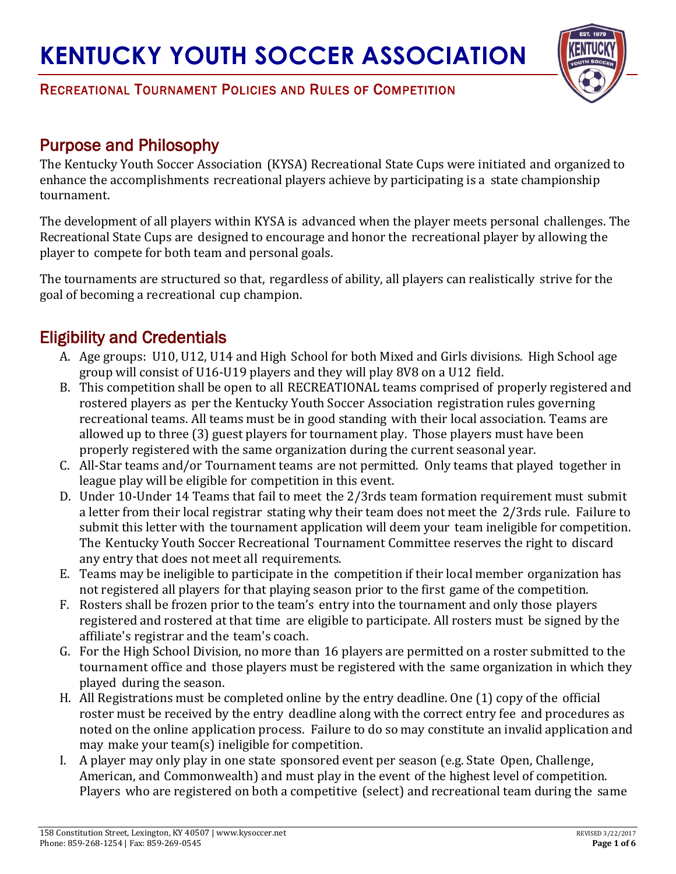

#### RECREATIONAL TOURNAMENT POLICIES AND RULES OF COMPETITION

### Purpose and Philosophy

The Kentucky Youth Soccer Association (KYSA) Recreational State Cups were initiated and organized to enhance the accomplishments recreational players achieve by participating is a state championship tournament.

The development of all players within KYSA is advanced when the player meets personal challenges. The Recreational State Cups are designed to encourage and honor the recreational player by allowing the player to compete for both team and personal goals.

The tournaments are structured so that, regardless of ability, all players can realistically strive for the goal of becoming a recreational cup champion.

## Eligibility and Credentials

- A. Age groups: U10, U12, U14 and High School for both Mixed and Girls divisions. High School age group will consist of U16-U19 players and they will play 8V8 on a U12 field.
- B. This competition shall be open to all RECREATIONAL teams comprised of properly registered and rostered players as per the Kentucky Youth Soccer Association registration rules governing recreational teams. All teams must be in good standing with their local association. Teams are allowed up to three (3) guest players for tournament play. Those players must have been properly registered with the same organization during the current seasonal year.
- C. All-Star teams and/or Tournament teams are not permitted. Only teams that played together in league play will be eligible for competition in this event.
- D. Under 10-Under 14 Teams that fail to meet the 2/3rds team formation requirement must submit a letter from their local registrar stating why their team does not meet the 2/3rds rule. Failure to submit this letter with the tournament application will deem your team ineligible for competition. The Kentucky Youth Soccer Recreational Tournament Committee reserves the right to discard any entry that does not meet all requirements.
- E. Teams may be ineligible to participate in the competition if their local member organization has not registered all players for that playing season prior to the first game of the competition.
- F. Rosters shall be frozen prior to the team's entry into the tournament and only those players registered and rostered at that time are eligible to participate. All rosters must be signed by the affiliate's registrar and the team's coach.
- G. For the High School Division, no more than 16 players are permitted on a roster submitted to the tournament office and those players must be registered with the same organization in which they played during the season.
- H. All Registrations must be completed online by the entry deadline. One (1) copy of the official roster must be received by the entry deadline along with the correct entry fee and procedures as noted on the online application process. Failure to do so may constitute an invalid application and may make your team(s) ineligible for competition.
- I. A player may only play in one state sponsored event per season (e.g. State Open, Challenge, American, and Commonwealth) and must play in the event of the highest level of competition. Players who are registered on both a competitive (select) and recreational team during the same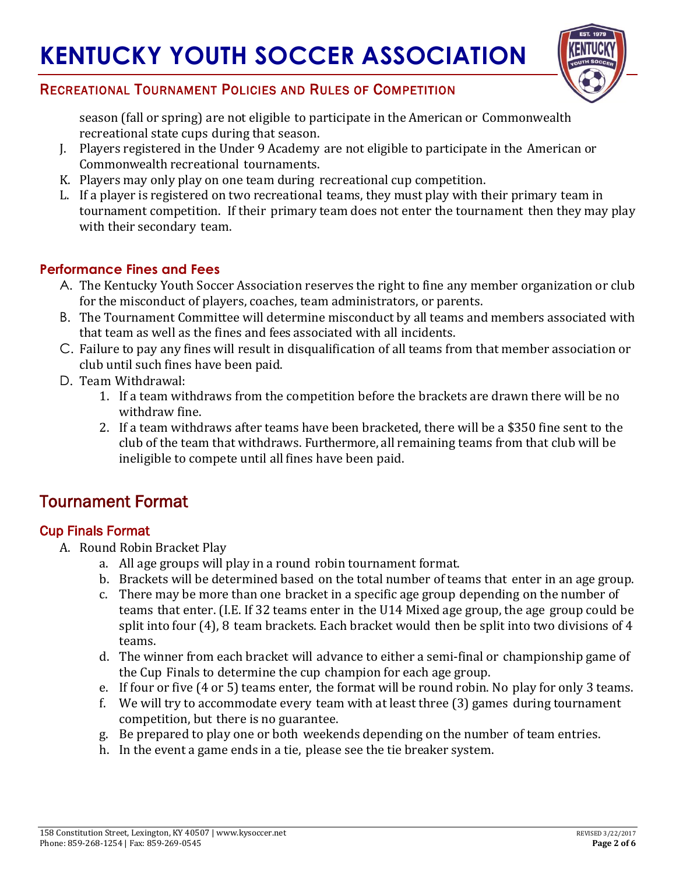

### RECREATIONAL TOURNAMENT POLICIES AND RULES OF COMPETITION

season (fall or spring) are not eligible to participate in the American or Commonwealth recreational state cups during that season.

- J. Players registered in the Under 9 Academy are not eligible to participate in the American or Commonwealth recreational tournaments.
- K. Players may only play on one team during recreational cup competition.
- L. If a player is registered on two recreational teams, they must play with their primary team in tournament competition. If their primary team does not enter the tournament then they may play with their secondary team.

### **Performance Fines and Fees**

- A. The Kentucky Youth Soccer Association reserves the right to fine any member organization or club for the misconduct of players, coaches, team administrators, or parents.
- B. The Tournament Committee will determine misconduct by all teams and members associated with that team as well as the fines and fees associated with all incidents.
- C. Failure to pay any fines will result in disqualification of all teams from that member association or club until such fines have been paid.
- D. Team Withdrawal:
	- 1. If a team withdraws from the competition before the brackets are drawn there will be no withdraw fine.
	- 2. If a team withdraws after teams have been bracketed, there will be a \$350 fine sent to the club of the team that withdraws. Furthermore, all remaining teams from that club will be ineligible to compete until all fines have been paid.

## Tournament Format

#### Cup Finals Format

- A. Round Robin Bracket Play
	- a. All age groups will play in a round robin tournament format.
	- b. Brackets will be determined based on the total number of teams that enter in an age group.
	- c. There may be more than one bracket in a specific age group depending on the number of teams that enter. (I.E. If 32 teams enter in the U14 Mixed age group, the age group could be split into four (4), 8 team brackets. Each bracket would then be split into two divisions of 4 teams.
	- d. The winner from each bracket will advance to either a semi-final or championship game of the Cup Finals to determine the cup champion for each age group.
	- e. If four or five (4 or 5) teams enter, the format will be round robin. No play for only 3 teams.
	- f. We will try to accommodate every team with at least three (3) games during tournament competition, but there is no guarantee.
	- g. Be prepared to play one or both weekends depending on the number of team entries.
	- h. In the event a game ends in a tie, please see the tie breaker system.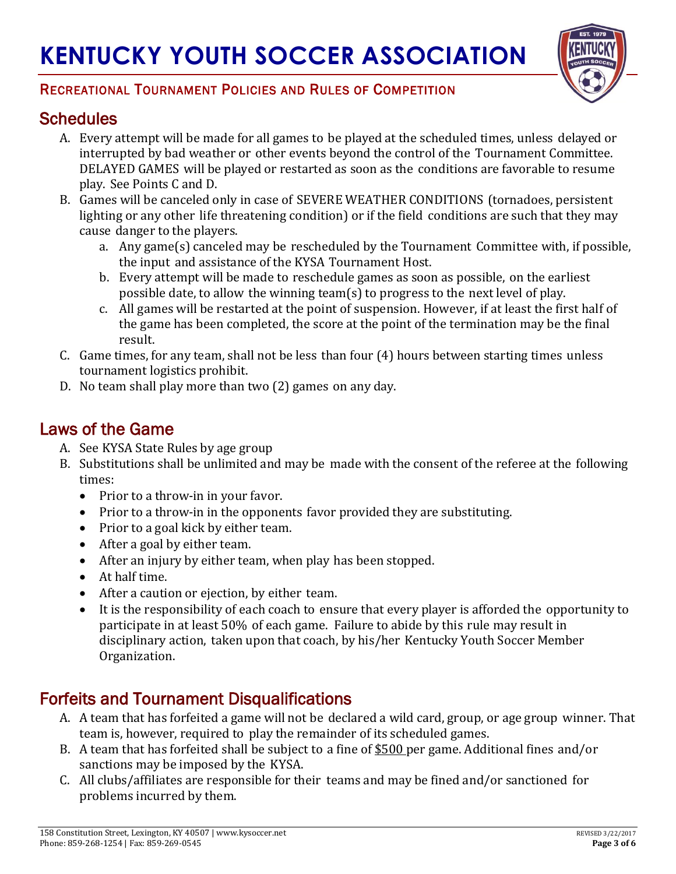

### RECREATIONAL TOURNAMENT POLICIES AND RULES OF COMPETITION

## **Schedules**

- A. Every attempt will be made for all games to be played at the scheduled times, unless delayed or interrupted by bad weather or other events beyond the control of the Tournament Committee. DELAYED GAMES will be played or restarted as soon as the conditions are favorable to resume play. See Points C and D.
- B. Games will be canceled only in case of SEVERE WEATHER CONDITIONS (tornadoes, persistent lighting or any other life threatening condition) or if the field conditions are such that they may cause danger to the players.
	- a. Any game(s) canceled may be rescheduled by the Tournament Committee with, if possible, the input and assistance of the KYSA Tournament Host.
	- b. Every attempt will be made to reschedule games as soon as possible, on the earliest possible date, to allow the winning team(s) to progress to the next level of play.
	- c. All games will be restarted at the point of suspension. However, if at least the first half of the game has been completed, the score at the point of the termination may be the final result.
- C. Game times, for any team, shall not be less than four (4) hours between starting times unless tournament logistics prohibit.
- D. No team shall play more than two (2) games on any day.

## Laws of the Game

- A. See KYSA State Rules by age group
- B. Substitutions shall be unlimited and may be made with the consent of the referee at the following times:
	- Prior to a throw-in in your favor.
	- Prior to a throw-in in the opponents favor provided they are substituting.
	- Prior to a goal kick by either team.
	- After a goal by either team.
	- After an injury by either team, when play has been stopped.
	- At half time.
	- After a caution or ejection, by either team.
	- It is the responsibility of each coach to ensure that every player is afforded the opportunity to participate in at least 50% of each game. Failure to abide by this rule may result in disciplinary action, taken upon that coach, by his/her Kentucky Youth Soccer Member Organization.

## Forfeits and Tournament Disqualifications

- A. A team that has forfeited a game will not be declared a wild card, group, or age group winner. That team is, however, required to play the remainder of its scheduled games.
- B. A team that has forfeited shall be subject to a fine of \$500 per game. Additional fines and/or sanctions may be imposed by the KYSA.
- C. All clubs/affiliates are responsible for their teams and may be fined and/or sanctioned for problems incurred by them.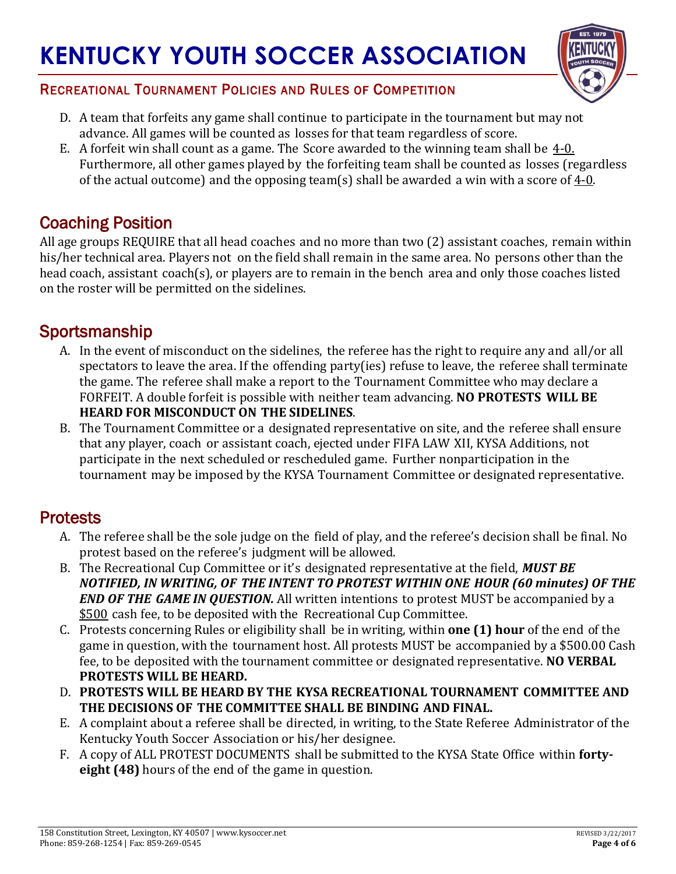

### RECREATIONAL TOURNAMENT POLICIES AND RULES OF COMPETITION

- D. A team that forfeits any game shall continue to participate in the tournament but may not advance. All games will be counted as losses for that team regardless of score.
- E. A forfeit win shall count as a game. The Score awarded to the winning team shall be  $4-0$ . Furthermore, all other games played by the forfeiting team shall be counted as losses (regardless of the actual outcome) and the opposing team(s) shall be awarded a win with a score of  $4-0$ .

## Coaching Position

All age groups REQUIRE that all head coaches and no more than two (2) assistant coaches, remain within his/her technical area. Players not on the field shall remain in the same area. No persons other than the head coach, assistant coach(s), or players are to remain in the bench area and only those coaches listed on the roster will be permitted on the sidelines.

## Sportsmanship

- A. In the event of misconduct on the sidelines, the referee has the right to require any and all/or all spectators to leave the area. If the offending party(ies) refuse to leave, the referee shall terminate the game. The referee shall make a report to the Tournament Committee who may declare a FORFEIT. A double forfeit is possible with neither team advancing. **NO PROTESTS WILL BE HEARD FOR MISCONDUCT ON THE SIDELINES**.
- B. The Tournament Committee or a designated representative on site, and the referee shall ensure that any player, coach or assistant coach, ejected under FIFA LAW XII, KYSA Additions, not participate in the next scheduled or rescheduled game. Further nonparticipation in the tournament may be imposed by the KYSA Tournament Committee or designated representative.

### **Protests**

- A. The referee shall be the sole judge on the field of play, and the referee's decision shall be final. No protest based on the referee's judgment will be allowed.
- B. The Recreational Cup Committee or it's designated representative at the field, *MUST BE NOTIFIED, IN WRITING, OF THE INTENT TO PROTEST WITHIN ONE HOUR (60 minutes) OF THE END OF THE GAME IN QUESTION.* All written intentions to protest MUST be accompanied by a \$500 cash fee, to be deposited with the Recreational Cup Committee.
- C. Protests concerning Rules or eligibility shall be in writing, within **one (1) hour** of the end of the game in question, with the tournament host. All protests MUST be accompanied by a \$500.00 Cash fee, to be deposited with the tournament committee or designated representative. **NO VERBAL PROTESTS WILL BE HEARD.**
- D. **PROTESTS WILL BE HEARD BY THE KYSA RECREATIONAL TOURNAMENT COMMITTEE AND THE DECISIONS OF THE COMMITTEE SHALL BE BINDING AND FINAL.**
- E. A complaint about a referee shall be directed, in writing, to the State Referee Administrator of the Kentucky Youth Soccer Association or his/her designee.
- F. A copy of ALL PROTEST DOCUMENTS shall be submitted to the KYSA State Office within **fortyeight (48)** hours of the end of the game in question.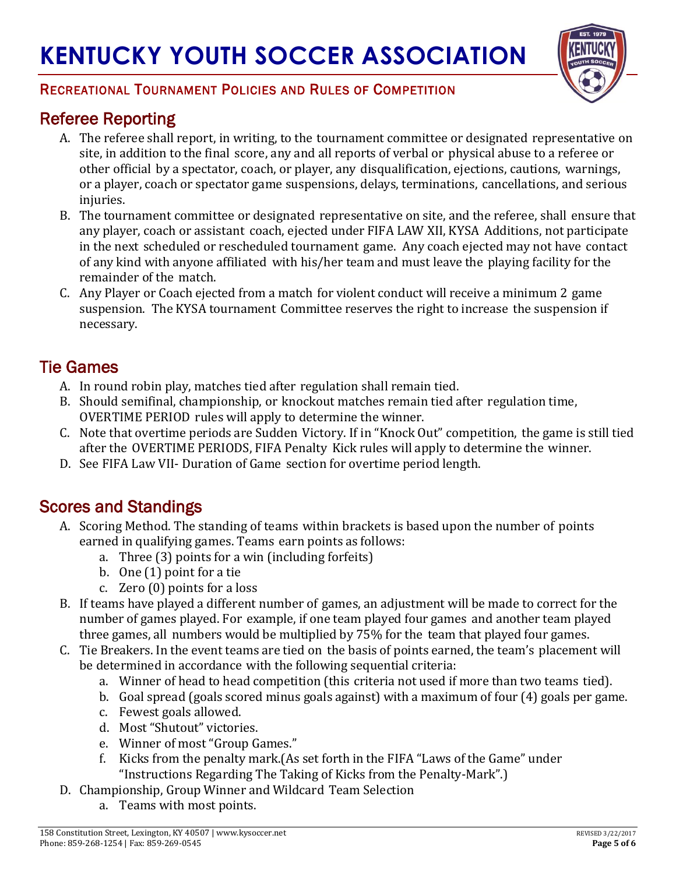

### RECREATIONAL TOURNAMENT POLICIES AND RULES OF COMPETITION

# Referee Reporting

- A. The referee shall report, in writing, to the tournament committee or designated representative on site, in addition to the final score, any and all reports of verbal or physical abuse to a referee or other official by a spectator, coach, or player, any disqualification, ejections, cautions, warnings, or a player, coach or spectator game suspensions, delays, terminations, cancellations, and serious injuries.
- B. The tournament committee or designated representative on site, and the referee, shall ensure that any player, coach or assistant coach, ejected under FIFA LAW XII, KYSA Additions, not participate in the next scheduled or rescheduled tournament game. Any coach ejected may not have contact of any kind with anyone affiliated with his/her team and must leave the playing facility for the remainder of the match.
- C. Any Player or Coach ejected from a match for violent conduct will receive a minimum 2 game suspension. The KYSA tournament Committee reserves the right to increase the suspension if necessary.

## Tie Games

- A. In round robin play, matches tied after regulation shall remain tied.
- B. Should semifinal, championship, or knockout matches remain tied after regulation time, OVERTIME PERIOD rules will apply to determine the winner.
- C. Note that overtime periods are Sudden Victory. If in "Knock Out" competition, the game is still tied after the OVERTIME PERIODS, FIFA Penalty Kick rules will apply to determine the winner.
- D. See FIFA Law VII- Duration of Game section for overtime period length.

## Scores and Standings

- A. Scoring Method. The standing of teams within brackets is based upon the number of points earned in qualifying games. Teams earn points as follows:
	- a. Three (3) points for a win (including forfeits)
	- b. One (1) point for a tie
	- c. Zero (0) points for a loss
- B. If teams have played a different number of games, an adjustment will be made to correct for the number of games played. For example, if one team played four games and another team played three games, all numbers would be multiplied by 75% for the team that played four games.
- C. Tie Breakers. In the event teams are tied on the basis of points earned, the team's placement will be determined in accordance with the following sequential criteria:
	- a. Winner of head to head competition (this criteria not used if more than two teams tied).
	- b. Goal spread (goals scored minus goals against) with a maximum of four (4) goals per game.
	- c. Fewest goals allowed.
	- d. Most "Shutout" victories.
	- e. Winner of most "Group Games."
	- f. Kicks from the penalty mark.(As set forth in the FIFA "Laws of the Game" under "Instructions Regarding The Taking of Kicks from the Penalty-Mark".)
- D. Championship, Group Winner and Wildcard Team Selection
	- a. Teams with most points.